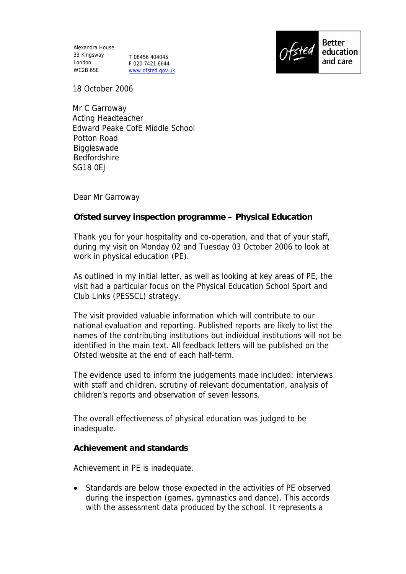Alexandra House 33 Kingsway London WC2B 6SE

T 08456 404045 F 020 7421 6644 www.ofsted.gov.uk



18 October 2006

 Mr C Garroway Acting Headteacher Edward Peake CofE Middle School Potton Road Biggleswade Bedfordshire SG18 0EJ

Dear Mr Garroway

**Ofsted survey inspection programme – Physical Education**

Thank you for your hospitality and co-operation, and that of your staff, during my visit on Monday 02 and Tuesday 03 October 2006 to look at work in physical education (PE).

As outlined in my initial letter, as well as looking at key areas of PE, the visit had a particular focus on the Physical Education School Sport and Club Links (PESSCL) strategy.

The visit provided valuable information which will contribute to our national evaluation and reporting. Published reports are likely to list the names of the contributing institutions but individual institutions will not be identified in the main text. All feedback letters will be published on the Ofsted website at the end of each half-term.

The evidence used to inform the judgements made included: interviews with staff and children, scrutiny of relevant documentation, analysis of children's reports and observation of seven lessons.

The overall effectiveness of physical education was judged to be inadequate.

**Achievement and standards**

Achievement in PE is inadequate.

 Standards are below those expected in the activities of PE observed during the inspection (games, gymnastics and dance). This accords with the assessment data produced by the school. It represents a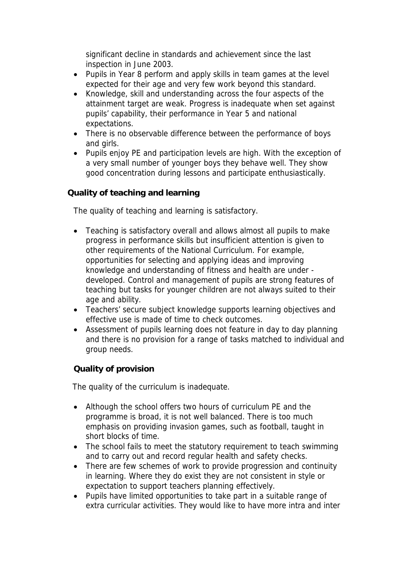significant decline in standards and achievement since the last inspection in June 2003.

- Pupils in Year 8 perform and apply skills in team games at the level expected for their age and very few work beyond this standard.
- Knowledge, skill and understanding across the four aspects of the attainment target are weak. Progress is inadequate when set against pupils' capability, their performance in Year 5 and national expectations.
- There is no observable difference between the performance of boys and girls.
- Pupils enjoy PE and participation levels are high. With the exception of a very small number of younger boys they behave well. They show good concentration during lessons and participate enthusiastically.

## **Quality of teaching and learning**

The quality of teaching and learning is satisfactory.

- Teaching is satisfactory overall and allows almost all pupils to make progress in performance skills but insufficient attention is given to other requirements of the National Curriculum. For example, opportunities for selecting and applying ideas and improving knowledge and understanding of fitness and health are under developed. Control and management of pupils are strong features of teaching but tasks for younger children are not always suited to their age and ability.
- Teachers' secure subject knowledge supports learning objectives and effective use is made of time to check outcomes.
- Assessment of pupils learning does not feature in day to day planning and there is no provision for a range of tasks matched to individual and group needs.

**Quality of provision**

The quality of the curriculum is inadequate.

- Although the school offers two hours of curriculum PE and the programme is broad, it is not well balanced. There is too much emphasis on providing invasion games, such as football, taught in short blocks of time.
- The school fails to meet the statutory requirement to teach swimming and to carry out and record regular health and safety checks.
- There are few schemes of work to provide progression and continuity in learning. Where they do exist they are not consistent in style or expectation to support teachers planning effectively.
- Pupils have limited opportunities to take part in a suitable range of extra curricular activities. They would like to have more intra and inter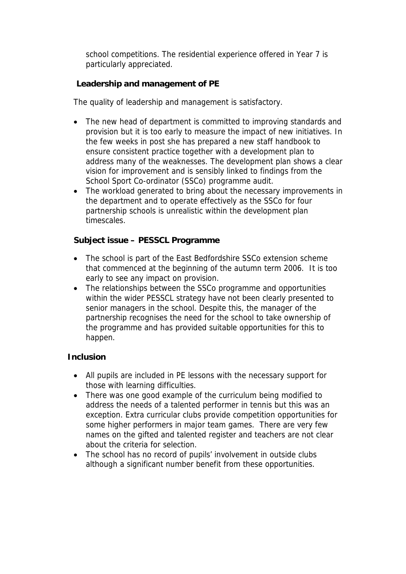school competitions. The residential experience offered in Year 7 is particularly appreciated.

**Leadership and management of PE**

The quality of leadership and management is satisfactory.

- The new head of department is committed to improving standards and provision but it is too early to measure the impact of new initiatives. In the few weeks in post she has prepared a new staff handbook to ensure consistent practice together with a development plan to address many of the weaknesses. The development plan shows a clear vision for improvement and is sensibly linked to findings from the School Sport Co-ordinator (SSCo) programme audit.
- The workload generated to bring about the necessary improvements in the department and to operate effectively as the SSCo for four partnership schools is unrealistic within the development plan timescales.

**Subject issue – PESSCL Programme**

- The school is part of the East Bedfordshire SSCo extension scheme that commenced at the beginning of the autumn term 2006. It is too early to see any impact on provision.
- The relationships between the SSCo programme and opportunities within the wider PESSCL strategy have not been clearly presented to senior managers in the school. Despite this, the manager of the partnership recognises the need for the school to take ownership of the programme and has provided suitable opportunities for this to happen.

## **Inclusion**

- All pupils are included in PE lessons with the necessary support for those with learning difficulties.
- There was one good example of the curriculum being modified to address the needs of a talented performer in tennis but this was an exception. Extra curricular clubs provide competition opportunities for some higher performers in major team games. There are very few names on the gifted and talented register and teachers are not clear about the criteria for selection.
- The school has no record of pupils' involvement in outside clubs although a significant number benefit from these opportunities.